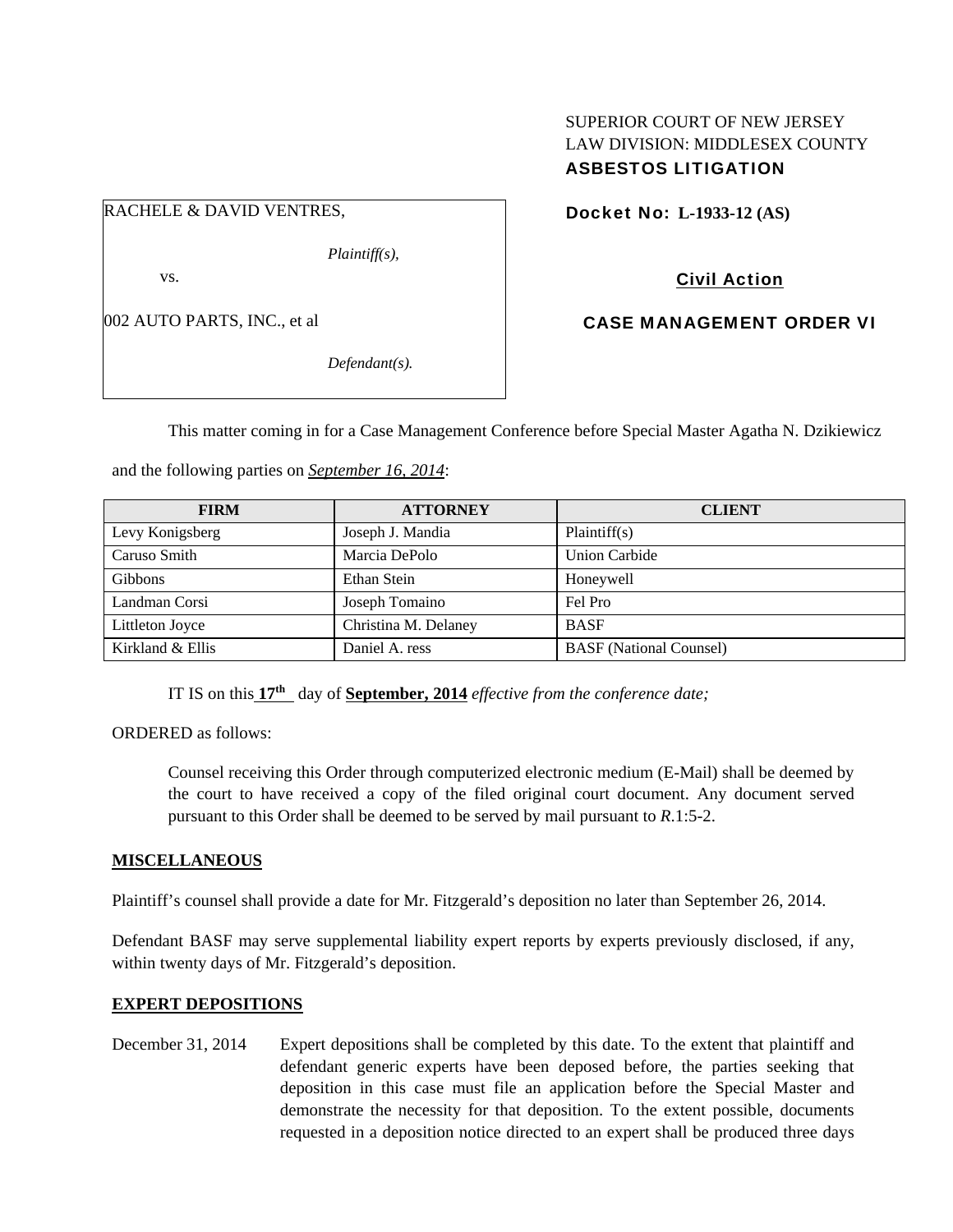## SUPERIOR COURT OF NEW JERSEY LAW DIVISION: MIDDLESEX COUNTY ASBESTOS LITIGATION

RACHELE & DAVID VENTRES,

*Plaintiff(s),* 

vs.

002 AUTO PARTS, INC., et al

*Defendant(s).* 

Docket No: **L-1933-12 (AS)** 

Civil Action

CASE MANAGEMENT ORDER VI

This matter coming in for a Case Management Conference before Special Master Agatha N. Dzikiewicz

and the following parties on *September 16, 2014*:

| <b>FIRM</b>      | <b>ATTORNEY</b>      | <b>CLIENT</b>                  |
|------------------|----------------------|--------------------------------|
| Levy Konigsberg  | Joseph J. Mandia     | Plaintiff(s)                   |
| Caruso Smith     | Marcia DePolo        | <b>Union Carbide</b>           |
| <b>Gibbons</b>   | Ethan Stein          | Honeywell                      |
| Landman Corsi    | Joseph Tomaino       | Fel Pro                        |
| Littleton Joyce  | Christina M. Delaney | <b>BASF</b>                    |
| Kirkland & Ellis | Daniel A. ress       | <b>BASF</b> (National Counsel) |

IT IS on this **17th** day of **September, 2014** *effective from the conference date;*

ORDERED as follows:

Counsel receiving this Order through computerized electronic medium (E-Mail) shall be deemed by the court to have received a copy of the filed original court document. Any document served pursuant to this Order shall be deemed to be served by mail pursuant to *R*.1:5-2.

#### **MISCELLANEOUS**

Plaintiff's counsel shall provide a date for Mr. Fitzgerald's deposition no later than September 26, 2014.

Defendant BASF may serve supplemental liability expert reports by experts previously disclosed, if any, within twenty days of Mr. Fitzgerald's deposition.

#### **EXPERT DEPOSITIONS**

December 31, 2014 Expert depositions shall be completed by this date. To the extent that plaintiff and defendant generic experts have been deposed before, the parties seeking that deposition in this case must file an application before the Special Master and demonstrate the necessity for that deposition. To the extent possible, documents requested in a deposition notice directed to an expert shall be produced three days